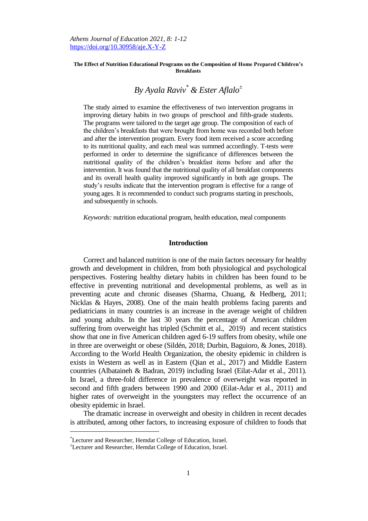*Athens Journal of Education 2021, 8: 1-12* <https://doi.org/10.30958/aje.X-Y-Z>

#### **The Effect of Nutrition Educational Programs on the Composition of Home Prepared Children's Breakfasts**

# *By Ayala Raviv\* & Ester Aflalo<sup>±</sup>*

The study aimed to examine the effectiveness of two intervention programs in improving dietary habits in two groups of preschool and fifth-grade students. The programs were tailored to the target age group. The composition of each of the children's breakfasts that were brought from home was recorded both before and after the intervention program. Every food item received a score according to its nutritional quality, and each meal was summed accordingly. T-tests were performed in order to determine the significance of differences between the nutritional quality of the children's breakfast items before and after the intervention. It was found that the nutritional quality of all breakfast components and its overall health quality improved significantly in both age groups. The study's results indicate that the intervention program is effective for a range of young ages. It is recommended to conduct such programs starting in preschools, and subsequently in schools.

*Keywords:* nutrition educational program, health education, meal components

# **Introduction**

Correct and balanced nutrition is one of the main factors necessary for healthy growth and development in children, from both physiological and psychological perspectives. Fostering healthy dietary habits in children has been found to be effective in preventing nutritional and developmental problems, as well as in preventing acute and chronic diseases (Sharma, Chuang, & Hedberg, 2011; Nicklas & Hayes, 2008). One of the main health problems facing parents and pediatricians in many countries is an increase in the average weight of children and young adults. In the last 30 years the percentage of American children suffering from overweight has tripled (Schmitt et al., [2019\)](https://search-proquest-com.mgs.hemdat.ac.il/indexinglinkhandler/sng/au/Katare,+Bhagyashree/$N?accountid=41238) and recent statistics show that one in five American children aged 6-19 suffers from obesity, while one in three are overweight or obese (Sildén, 2018; Durbin, Baguioro, & Jones, 2018). According to the World Health Organization, the obesity epidemic in children is exists in Western as well as in Eastern [\(Qian et al.,](https://search-proquest-com.mgs.hemdat.ac.il/indexinglinkhandler/sng/au/Qian,+Ling/$N?accountid=41238) [2017\) a](https://search-proquest-com.mgs.hemdat.ac.il/indexinglinkhandler/sng/au/Qian,+Ling/$N?accountid=41238)nd Middle Eastern countries [\(Albataineh](https://journals.sagepub.com/doi/full/10.1177/0260106018803243) & Badran, 2019) including Israel (Eilat-Adar et al., 2011). In Israel, a three-fold difference in prevalence of overweight was reported in second and fifth graders between 1990 and 2000 (Eilat-Adar et al., 2011) and higher rates of overweight in the youngsters may reflect the occurrence of an obesity epidemic in Israel.

The dramatic increase in overweight and obesity in children in recent decades is attributed, among other factors, to increasing exposure of children to foods that

 $\overline{a}$ 

<sup>\*</sup>Lecturer and Researcher, Hemdat College of Education, Israel.

<sup>±</sup>Lecturer and Researcher, Hemdat College of Education, Israel.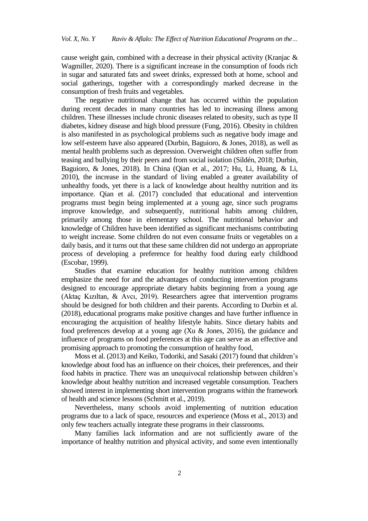cause weight gain, combined with a decrease in their physical activity (Kranjac & Wagmiller, 2020). There is a significant increase in the consumption of foods rich in sugar and saturated fats and sweet drinks, expressed both at home, school and social gatherings, together with a correspondingly marked decrease in the consumption of fresh fruits and vegetables.

The negative nutritional change that has occurred within the population during recent decades in many countries has led to increasing illness among children. These illnesses include chronic diseases related to obesity, such as type II diabetes, kidney disease and high blood pressure (Fung, 2016). Obesity in children is also manifested in as psychological problems such as negative body image and low self-esteem have also appeared (Durbin, Baguioro, & Jones, 2018), as well as mental health problems such as depression. Overweight children often suffer from teasing and bullying by their peers and from social isolation (Sildén, 2018; Durbin, Baguioro, & Jones, 2018). In China (Qian et al., 2017; Hu, Li, Huang, & Li, 2010), the increase in the standard of living enabled a greater availability of unhealthy foods, yet there is a lack of knowledge about healthy nutrition and its importance. Qian et al. (2017) concluded that educational and intervention programs must begin being implemented at a young age, since such programs improve knowledge, and subsequently, nutritional habits among children, primarily among those in elementary school. The nutritional behavior and knowledge of Children have been identified as significant mechanisms contributing to weight increase. Some children do not even consume fruits or vegetables on a daily basis, and it turns out that these same children did not undergo an appropriate process of developing a preference for healthy food during early childhood (Escobar, 1999).

Studies that examine education for healthy nutrition among children emphasize the need for and the advantages of conducting intervention programs designed to encourage appropriate dietary habits beginning from a young age (Aktaç Kızıltan, & Avcı, 2019). Researchers agree that intervention programs should be designed for both children and their parents. According to Durbin et al. (2018), educational programs make positive changes and have further influence in encouraging the acquisition of healthy lifestyle habits. Since dietary habits and food preferences develop at a young age (Xu & Jones, 2016), the guidance and influence of programs on food preferences at this age can serve as an effective and promising approach to promoting the consumption of healthy food,

Moss et al. (2013) and Keiko, Todoriki, and Sasaki (2017) found that children's knowledge about food has an influence on their choices, their preferences, and their food habits in practice. There was an unequivocal relationship between children's knowledge about healthy nutrition and increased vegetable consumption. Teachers showed interest in implementing short intervention programs within the framework of health and science lessons (Schmitt et al., 2019).

Nevertheless, many schools avoid implementing of nutrition education programs due to a lack of space, resources and experience (Moss et al., 2013) and only few teachers actually integrate these programs in their classrooms.

Many families lack information and are not sufficiently aware of the importance of healthy nutrition and physical activity, and some even intentionally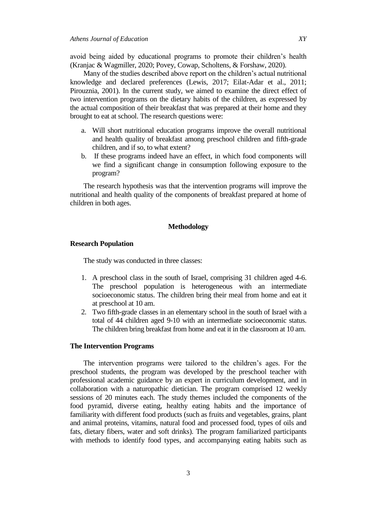avoid being aided by educational programs to promote their children's health (Kranjac & Wagmiller, 2020[; Povey,](https://search-proquest-com.mgs.hemdat.ac.il/indexinglinkhandler/sng/au/Povey,+R+C/$N?accountid=41238) Cowap, Scholtens, & Forshaw, [2020\).](https://search-proquest-com.mgs.hemdat.ac.il/indexinglinkhandler/sng/au/Forshaw+MJ/$N?accountid=41238) 

Many of the studies described above report on the children's actual nutritional knowledge and declared preferences (Lewis, 2017; Eilat-Adar et al., 2011; Pirouznia, 2001). In the current study, we aimed to examine the direct effect of two intervention programs on the dietary habits of the children, as expressed by the actual composition of their breakfast that was prepared at their home and they brought to eat at school. The research questions were:

- a. Will short nutritional education programs improve the overall nutritional and health quality of breakfast among preschool children and fifth-grade children, and if so, to what extent?
- b. If these programs indeed have an effect, in which food components will we find a significant change in consumption following exposure to the program?

The research hypothesis was that the intervention programs will improve the nutritional and health quality of the components of breakfast prepared at home of children in both ages.

# **Methodology**

# **Research Population**

The study was conducted in three classes:

- 1. A preschool class in the south of Israel, comprising 31 children aged 4-6. The preschool population is heterogeneous with an intermediate socioeconomic status. The children bring their meal from home and eat it at preschool at 10 am.
- 2. Two fifth-grade classes in an elementary school in the south of Israel with a total of 44 children aged 9-10 with an intermediate socioeconomic status. The children bring breakfast from home and eat it in the classroom at 10 am.

#### **The Intervention Programs**

The intervention programs were tailored to the children's ages. For the preschool students, the program was developed by the preschool teacher with professional academic guidance by an expert in curriculum development, and in collaboration with a naturopathic dietician. The program comprised 12 weekly sessions of 20 minutes each. The study themes included the components of the food pyramid, diverse eating, healthy eating habits and the importance of familiarity with different food products (such as fruits and vegetables, grains, plant and animal proteins, vitamins, natural food and processed food, types of oils and fats, dietary fibers, water and soft drinks). The program familiarized participants with methods to identify food types, and accompanying eating habits such as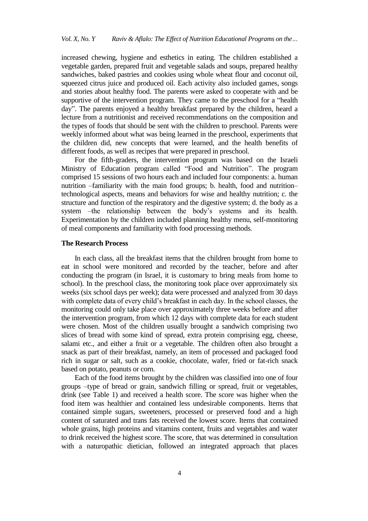increased chewing, hygiene and esthetics in eating. The children established a vegetable garden, prepared fruit and vegetable salads and soups, prepared healthy sandwiches, baked pastries and cookies using whole wheat flour and coconut oil, squeezed citrus juice and produced oil. Each activity also included games, songs and stories about healthy food. The parents were asked to cooperate with and be supportive of the intervention program. They came to the preschool for a "health day". The parents enjoyed a healthy breakfast prepared by the children, heard a lecture from a nutritionist and received recommendations on the composition and the types of foods that should be sent with the children to preschool. Parents were weekly informed about what was being learned in the preschool, experiments that the children did, new concepts that were learned, and the health benefits of different foods, as well as recipes that were prepared in preschool.

For the fifth-graders, the intervention program was based on the Israeli Ministry of Education program called "Food and Nutrition". The program comprised 15 sessions of two hours each and included four components: a. human nutrition –familiarity with the main food groups; b. health, food and nutrition– technological aspects, means and behaviors for wise and healthy nutrition; c. the structure and function of the respiratory and the digestive system; d. the body as a system –the relationship between the body's systems and its health. Experimentation by the children included planning healthy menu, self-monitoring of meal components and familiarity with food processing methods.

## **The Research Process**

In each class, all the breakfast items that the children brought from home to eat in school were monitored and recorded by the teacher, before and after conducting the program (in Israel, it is customary to bring meals from home to school). In the preschool class, the monitoring took place over approximately six weeks (six school days per week); data were processed and analyzed from 30 days with complete data of every child's breakfast in each day. In the school classes, the monitoring could only take place over approximately three weeks before and after the intervention program, from which 12 days with complete data for each student were chosen. Most of the children usually brought a sandwich comprising two slices of bread with some kind of spread, extra protein comprising egg, cheese, salami etc., and either a fruit or a vegetable. The children often also brought a snack as part of their breakfast, namely, an item of processed and packaged food rich in sugar or salt, such as a cookie, chocolate, wafer, fried or fat-rich snack based on potato, peanuts or corn.

Each of the food items brought by the children was classified into one of four groups –type of bread or grain, sandwich filling or spread, fruit or vegetables, drink (see Table 1) and received a health score. The score was higher when the food item was healthier and contained less undesirable components. Items that contained simple sugars, sweeteners, processed or preserved food and a high content of saturated and trans fats received the lowest score. Items that contained whole grains, high proteins and vitamins content, fruits and vegetables and water to drink received the highest score. The score, that was determined in consultation with a naturopathic dietician, followed an integrated approach that places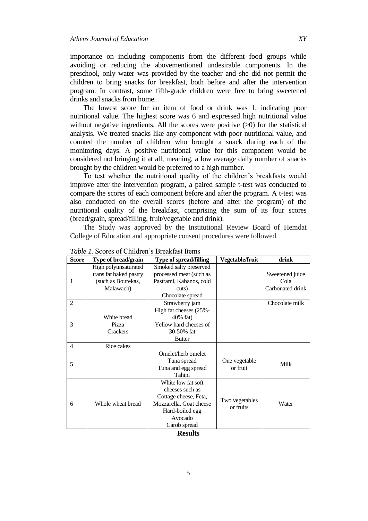importance on including components from the different food groups while avoiding or reducing the abovementioned undesirable components. In the preschool, only water was provided by the teacher and she did not permit the children to bring snacks for breakfast, both before and after the intervention program. In contrast, some fifth-grade children were free to bring sweetened drinks and snacks from home.

The lowest score for an item of food or drink was 1, indicating poor nutritional value. The highest score was 6 and expressed high nutritional value without negative ingredients. All the scores were positive  $(0)$  for the statistical analysis. We treated snacks like any component with poor nutritional value, and counted the number of children who brought a snack during each of the monitoring days. A positive nutritional value for this component would be considered not bringing it at all, meaning, a low average daily number of snacks brought by the children would be preferred to a high number.

To test whether the nutritional quality of the children's breakfasts would improve after the intervention program, a paired sample t-test was conducted to compare the scores of each component before and after the program. A t-test was also conducted on the overall scores (before and after the program) of the nutritional quality of the breakfast, comprising the sum of its four scores (bread/grain, spread/filling, fruit/vegetable and drink).

The Study was approved by the Institutional Review Board of Hemdat College of Education and appropriate consent procedures were followed.

| <b>Score</b>                                    | Type of bread/grain    | <b>Type of spread/filling</b> | Vegetable/fruit | drink            |  |  |  |  |  |  |
|-------------------------------------------------|------------------------|-------------------------------|-----------------|------------------|--|--|--|--|--|--|
| 1                                               | High polyunsaturated   | Smoked salty preserved        |                 |                  |  |  |  |  |  |  |
|                                                 | trans fat baked pastry | processed meat (such as       |                 | Sweetened juice  |  |  |  |  |  |  |
|                                                 | (such as Bourekas,     | Pastrami, Kabanos, cold       |                 | Cola             |  |  |  |  |  |  |
|                                                 | Malawach)              | cuts)                         |                 | Carbonated drink |  |  |  |  |  |  |
|                                                 |                        | Chocolate spread              |                 |                  |  |  |  |  |  |  |
| 2                                               |                        | Strawberry jam                |                 | Chocolate milk   |  |  |  |  |  |  |
| 3                                               |                        | High fat cheeses (25%-        |                 |                  |  |  |  |  |  |  |
|                                                 | White bread            | $40\%$ fat)                   |                 |                  |  |  |  |  |  |  |
|                                                 | Pizza                  | Yellow hard cheeses of        |                 |                  |  |  |  |  |  |  |
|                                                 | Crackers               | 30-50% fat                    |                 |                  |  |  |  |  |  |  |
|                                                 |                        | <b>Butter</b>                 |                 |                  |  |  |  |  |  |  |
| 4                                               | Rice cakes             |                               |                 |                  |  |  |  |  |  |  |
| 5                                               |                        | Omelet/herb omelet            |                 |                  |  |  |  |  |  |  |
|                                                 |                        | Tuna spread                   | One vegetable   | Milk             |  |  |  |  |  |  |
|                                                 |                        | Tuna and egg spread           | or fruit        |                  |  |  |  |  |  |  |
|                                                 |                        | Tahini                        |                 |                  |  |  |  |  |  |  |
| 6                                               | Whole wheat bread      | White low fat soft            |                 |                  |  |  |  |  |  |  |
|                                                 |                        | cheeses such as               |                 |                  |  |  |  |  |  |  |
|                                                 |                        | Cottage cheese, Feta,         | Two vegetables  |                  |  |  |  |  |  |  |
|                                                 |                        | Mozzarella, Goat cheese       | or fruits       | Water            |  |  |  |  |  |  |
|                                                 |                        | Hard-boiled egg               |                 |                  |  |  |  |  |  |  |
|                                                 |                        | Avocado                       |                 |                  |  |  |  |  |  |  |
|                                                 |                        | Carob spread                  |                 |                  |  |  |  |  |  |  |
| $\mathbf{D}_{\text{ext}}\mathbf{1}_{\text{tr}}$ |                        |                               |                 |                  |  |  |  |  |  |  |

*Table 1.* Scores of Children's Breakfast Items

**Results**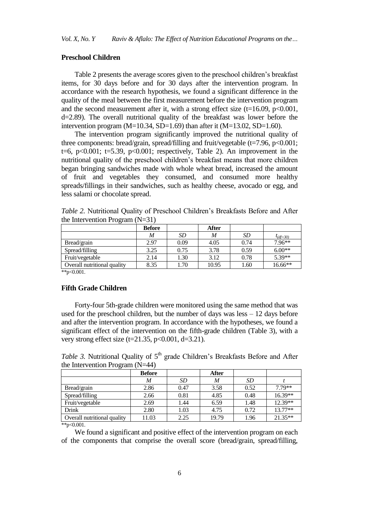# **Preschool Children**

Table 2 presents the average scores given to the preschool children's breakfast items, for 30 days before and for 30 days after the intervention program. In accordance with the research hypothesis, we found a significant difference in the quality of the meal between the first measurement before the intervention program and the second measurement after it, with a strong effect size ( $t=16.09$ ,  $p<0.001$ , d=2.89). The overall nutritional quality of the breakfast was lower before the intervention program (M=10.34, SD=1.69) than after it (M=13.02, SD=1.60).

The intervention program significantly improved the nutritional quality of three components: bread/grain, spread/filling and fruit/vegetable  $(t=7.96, p<0.001;$ t=6, p<0.001; t=5.39, p<0.001; respectively, Table 2). An improvement in the nutritional quality of the preschool children's breakfast means that more children began bringing sandwiches made with whole wheat bread, increased the amount of fruit and vegetables they consumed, and consumed more healthy spreads/fillings in their sandwiches, such as healthy cheese, avocado or egg, and less salami or chocolate spread.

| - 0                         | <b>Before</b> |      | After |      |               |
|-----------------------------|---------------|------|-------|------|---------------|
|                             | M             | SD   | M     | SD   | $t_{(df=30)}$ |
| Bread/grain                 | 2.97          | 0.09 | 4.05  | 0.74 | 7.96**        |
| Spread/filling              | 3.25          | 0.75 | 3.78  | 0.59 | $6.00**$      |
| Fruit/vegetable             | 2.14          | 1.30 | 3.12  | 0.78 | 5.39**        |
| Overall nutritional quality | 8.35          | 1.70 | 10.95 | 1.60 | 16.66**       |

*Table 2.* Nutritional Quality of Preschool Children's Breakfasts Before and After the Intervention Program  $(N=31)$ 

\*\*p< $0.001$ .

# **Fifth Grade Children**

Forty-four 5th-grade children were monitored using the same method that was used for the preschool children, but the number of days was  $\text{less} -12$  days before and after the intervention program. In accordance with the hypotheses, we found a significant effect of the intervention on the fifth-grade children (Table 3), with a very strong effect size (t=21.35, p<0.001, d=3.21).

*Table 3.* Nutritional Quality of 5<sup>th</sup> grade Children's Breakfasts Before and After the Intervention Program (N=44)

|                             | <b>Before</b> |      | <b>After</b> |           |         |
|-----------------------------|---------------|------|--------------|-----------|---------|
|                             | M             | SD   | M            | <i>SD</i> |         |
| Bread/grain                 | 2.86          | 0.47 | 3.58         | 0.52      | 7.79**  |
| Spread/filling              | 2.66          | 0.81 | 4.85         | 0.48      | 16.39** |
| Fruit/vegetable             | 2.69          | 1.44 | 6.59         | 1.48      | 12.39** |
| Drink                       | 2.80          | 1.03 | 4.75         | 0.72      | 13.77** |
| Overall nutritional quality | 11.03         | 2.25 | 19.79        | 1.96      | 21.35** |

 $*<sub>p</sub> < 0.001$ .

We found a significant and positive effect of the intervention program on each of the components that comprise the overall score (bread/grain, spread/filling,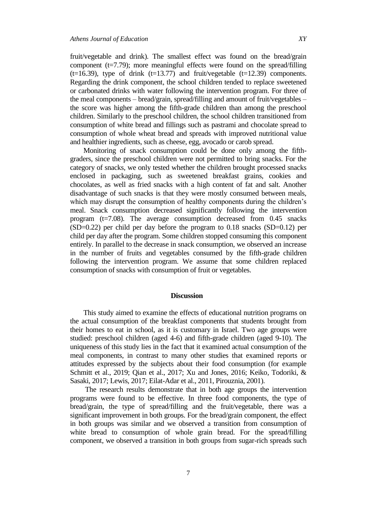fruit/vegetable and drink). The smallest effect was found on the bread/grain component ( $t=7.79$ ); more meaningful effects were found on the spread/filling ( $t=16.39$ ), type of drink ( $t=13.77$ ) and fruit/vegetable ( $t=12.39$ ) components. Regarding the drink component, the school children tended to replace sweetened or carbonated drinks with water following the intervention program. For three of the meal components – bread/grain, spread/filling and amount of fruit/vegetables – the score was higher among the fifth-grade children than among the preschool children. Similarly to the preschool children, the school children transitioned from consumption of white bread and fillings such as pastrami and chocolate spread to consumption of whole wheat bread and spreads with improved nutritional value and healthier ingredients, such as cheese, egg, avocado or carob spread.

Monitoring of snack consumption could be done only among the fifthgraders, since the preschool children were not permitted to bring snacks. For the category of snacks, we only tested whether the children brought processed snacks enclosed in packaging, such as sweetened breakfast grains, cookies and chocolates, as well as fried snacks with a high content of fat and salt. Another disadvantage of such snacks is that they were mostly consumed between meals, which may disrupt the consumption of healthy components during the children's meal. Snack consumption decreased significantly following the intervention program  $(t=7.08)$ . The average consumption decreased from  $0.45$  snacks  $(SD=0.22)$  per child per day before the program to 0.18 snacks  $(SD=0.12)$  per child per day after the program. Some children stopped consuming this component entirely. In parallel to the decrease in snack consumption, we observed an increase in the number of fruits and vegetables consumed by the fifth-grade children following the intervention program. We assume that some children replaced consumption of snacks with consumption of fruit or vegetables.

# **Discussion**

This study aimed to examine the effects of educational nutrition programs on the actual consumption of the breakfast components that students brought from their homes to eat in school, as it is customary in Israel. Two age groups were studied: preschool children (aged 4-6) and fifth-grade children (aged 9-10). The uniqueness of this study lies in the fact that it examined actual consumption of the meal components, in contrast to many other studies that examined reports or attitudes expressed by the subjects about their food consumption (for example Schmitt et al., 2019; Qian et al., 2017; Xu and Jones, 2016; Keiko, Todoriki, & Sasaki, 2017; Lewis, 2017; Eilat-Adar et al., 2011, Pirouznia, 2001).

The research results demonstrate that in both age groups the intervention programs were found to be effective. In three food components, the type of bread/grain, the type of spread/filling and the fruit/vegetable, there was a significant improvement in both groups. For the bread/grain component, the effect in both groups was similar and we observed a transition from consumption of white bread to consumption of whole grain bread. For the spread/filling component, we observed a transition in both groups from sugar-rich spreads such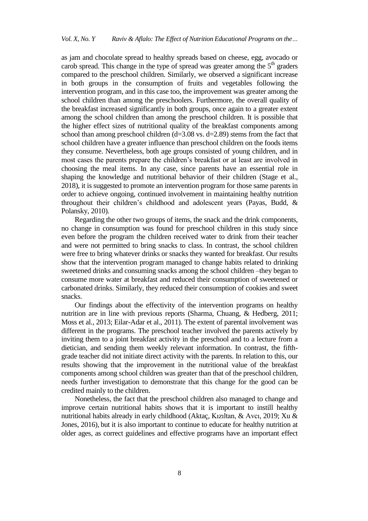as jam and chocolate spread to healthy spreads based on cheese, egg, avocado or carob spread. This change in the type of spread was greater among the  $5<sup>th</sup>$  graders compared to the preschool children. Similarly, we observed a significant increase in both groups in the consumption of fruits and vegetables following the intervention program, and in this case too, the improvement was greater among the school children than among the preschoolers. Furthermore, the overall quality of the breakfast increased significantly in both groups, once again to a greater extent among the school children than among the preschool children. It is possible that the higher effect sizes of nutritional quality of the breakfast components among school than among preschool children  $(d=3.08 \text{ vs. } d=2.89)$  stems from the fact that school children have a greater influence than preschool children on the foods items they consume. Nevertheless, both age groups consisted of young children, and in most cases the parents prepare the children's breakfast or at least are involved in choosing the meal items. In any case, since parents have an essential role in shaping the knowledge and nutritional behavior of their children (Stage et al., 2018), it is suggested to promote an intervention program for those same parents in order to achieve ongoing, continued involvement in maintaining healthy nutrition throughout their children's childhood and adolescent years (Payas, Budd, & Polansky, 2010).

Regarding the other two groups of items, the snack and the drink components, no change in consumption was found for preschool children in this study since even before the program the children received water to drink from their teacher and were not permitted to bring snacks to class. In contrast, the school children were free to bring whatever drinks or snacks they wanted for breakfast. Our results show that the intervention program managed to change habits related to drinking sweetened drinks and consuming snacks among the school children –they began to consume more water at breakfast and reduced their consumption of sweetened or carbonated drinks. Similarly, they reduced their consumption of cookies and sweet snacks.

Our findings about the effectivity of the intervention programs on healthy nutrition are in line with previous reports (Sharma, Chuang, & Hedberg, 2011; Moss et al., 2013; Eilar-Adar et al., 2011). The extent of parental involvement was different in the programs. The preschool teacher involved the parents actively by inviting them to a joint breakfast activity in the preschool and to a lecture from a dietician, and sending them weekly relevant information. In contrast, the fifthgrade teacher did not initiate direct activity with the parents. In relation to this, our results showing that the improvement in the nutritional value of the breakfast components among school children was greater than that of the preschool children, needs further investigation to demonstrate that this change for the good can be credited mainly to the children.

Nonetheless, the fact that the preschool children also managed to change and improve certain nutritional habits shows that it is important to instill healthy nutritional habits already in early childhood (Aktaç, Kızıltan, & Avcı, 2019; Xu & Jones, 2016), but it is also important to continue to educate for healthy nutrition at older ages, as correct guidelines and effective programs have an important effect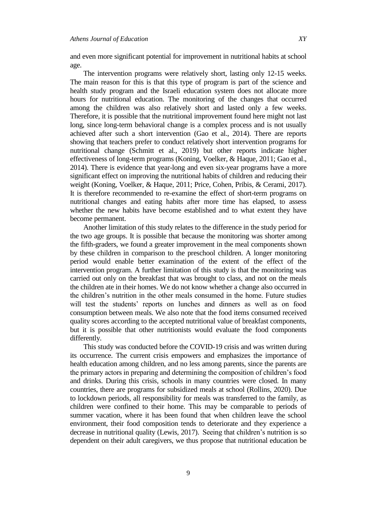and even more significant potential for improvement in nutritional habits at school age.

The intervention programs were relatively short, lasting only 12-15 weeks. The main reason for this is that this type of program is part of the science and health study program and the Israeli education system does not allocate more hours for nutritional education. The monitoring of the changes that occurred among the children was also relatively short and lasted only a few weeks. Therefore, it is possible that the nutritional improvement found here might not last long, since long-term behavioral change is a complex process and is not usually achieved after such a short intervention (Gao et al., 2014). There are reports showing that teachers prefer to conduct relatively short intervention programs for nutritional change (Schmitt et al., 2019) but other reports indicate higher effectiveness of long-term programs (Koning, Voelker, & Haque, 2011; Gao et al., 2014). There is evidence that year-long and even six-year programs have a more significant effect on improving the nutritional habits of children and reducing their weight (Koning, Voelker, & Haque, 2011; Price, Cohen, Pribis, & Cerami, 2017). It is therefore recommended to re-examine the effect of short-term programs on nutritional changes and eating habits after more time has elapsed, to assess whether the new habits have become established and to what extent they have become permanent.

Another limitation of this study relates to the difference in the study period for the two age groups. It is possible that because the monitoring was shorter among the fifth-graders, we found a greater improvement in the meal components shown by these children in comparison to the preschool children. A longer monitoring period would enable better examination of the extent of the effect of the intervention program. A further limitation of this study is that the monitoring was carried out only on the breakfast that was brought to class, and not on the meals the children ate in their homes. We do not know whether a change also occurred in the children's nutrition in the other meals consumed in the home. Future studies will test the students' reports on lunches and dinners as well as on food consumption between meals. We also note that the food items consumed received quality scores according to the accepted nutritional value of breakfast components, but it is possible that other nutritionists would evaluate the food components differently.

This study was conducted before the COVID-19 crisis and was written during its occurrence. The current crisis empowers and emphasizes the importance of health education among children, and no less among parents, since the parents are the primary actors in preparing and determining the composition of children's food and drinks. During this crisis, schools in many countries were closed. In many countries, there are programs for subsidized meals at school (Rollins, 2020). Due to lockdown periods, all responsibility for meals was transferred to the family, as children were confined to their home. This may be comparable to periods of summer vacation, where it has been found that when children leave the school environment, their food composition tends to deteriorate and they experience a decrease in nutritional quality (Lewis, 2017). Seeing that children's nutrition is so dependent on their adult caregivers, we thus propose that nutritional education be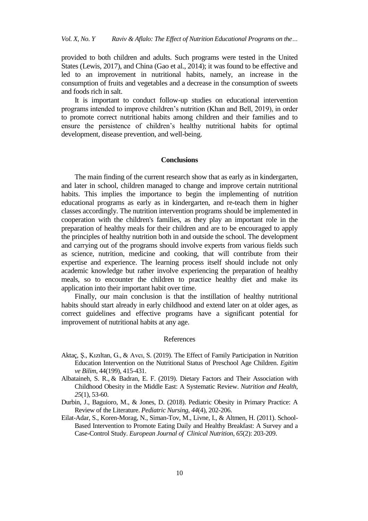provided to both children and adults. Such programs were tested in the United States (Lewis, 2017), and China (Gao et al., 2014); it was found to be effective and led to an improvement in nutritional habits, namely, an increase in the consumption of fruits and vegetables and a decrease in the consumption of sweets and foods rich in salt.

It is important to conduct follow-up studies on educational intervention programs intended to improve children's nutrition (Khan and Bell, 2019), in order to promote correct nutritional habits among children and their families and to ensure the persistence of children's healthy nutritional habits for optimal development, disease prevention, and well-being.

## **Conclusions**

The main finding of the current research show that as early as in kindergarten, and later in school, children managed to change and improve certain nutritional habits. This implies the importance to begin the implementing of nutrition educational programs as early as in kindergarten, and re-teach them in higher classes accordingly. The nutrition intervention programs should be implemented in cooperation with the children's families, as they play an important role in the preparation of healthy meals for their children and are to be encouraged to apply the principles of healthy nutrition both in and outside the school. The development and carrying out of the programs should involve experts from various fields such as science, nutrition, medicine and cooking, that will contribute from their expertise and experience. The learning process itself should include not only academic knowledge but rather involve experiencing the preparation of healthy meals, so to encounter the children to practice healthy diet and make its application into their important habit over time.

Finally, our main conclusion is that the instillation of healthy nutritional habits should start already in early childhood and extend later on at older ages, as correct guidelines and effective programs have a significant potential for improvement of nutritional habits at any age.

## References

- Aktaç, Ş., [Kızıltan, G.,](https://search-proquest-com.mgs.hemdat.ac.il/indexinglinkhandler/sng/au/K$x0131z$x0131ltan,+G$fcl/$N?accountid=41238) & [Avcı, S.](https://search-proquest-com.mgs.hemdat.ac.il/indexinglinkhandler/sng/au/Avc$x0131,+S$fcleyman/$N?accountid=41238) (2019). The Effect of Family Participation in Nutrition Education Intervention on the Nutritional Status of Preschool Age Children. *[Egitim](https://search-proquest-com.mgs.hemdat.ac.il/pubidlinkhandler/sng/pubtitle/Egitim+ve+Bilim/$N/1056401/PagePdf/2276731624/fulltextPDF/457DCD68B20543AEPQ/3?accountid=41238)  [ve Bilim](https://search-proquest-com.mgs.hemdat.ac.il/pubidlinkhandler/sng/pubtitle/Egitim+ve+Bilim/$N/1056401/PagePdf/2276731624/fulltextPDF/457DCD68B20543AEPQ/3?accountid=41238)*, 44(199), 415-431.
- [Albataineh,](https://journals.sagepub.com/doi/full/10.1177/0260106018803243) S. R., & [Badran,](https://journals.sagepub.com/doi/full/10.1177/0260106018803243) E. F. (2019). Dietary Factors and Their Association with Childhood Obesity in the Middle East: A Systematic Review. *Nutrition and Health, 25*(1), 53-60.
- [Durbin,](https://search-proquest-com.mgs.hemdat.ac.il/indexinglinkhandler/sng/au/Durbin,+Jessica/$N?accountid=41238) J., [Baguioro,](https://search-proquest-com.mgs.hemdat.ac.il/indexinglinkhandler/sng/au/Baguioro,+Mitzi/$N?accountid=41238) M., & [Jones,](https://search-proquest-com.mgs.hemdat.ac.il/indexinglinkhandler/sng/au/Jones,+Donita/$N?accountid=41238) D. (2018). Pediatric Obesity in Primary Practice: A Review of the Literature. *[Pediatric Nursing](https://search-proquest-com.mgs.hemdat.ac.il/pubidlinkhandler/sng/pubtitle/Pediatric+Nursing/$N/47659/DocView/2096475334/fulltext/64E9995F107F420APQ/5?accountid=41238)*, *44*(4), 202-206.
- Eilat-Adar, S., Koren-Morag, N., Siman-Tov, M., Livne, I., & Altmen, H. (2011). School-Based Intervention to Promote Eating Daily and Healthy Breakfast: A Survey and a Case-Control Study. *European Journal of Clinical Nutrition*, *65*(2): 203-209.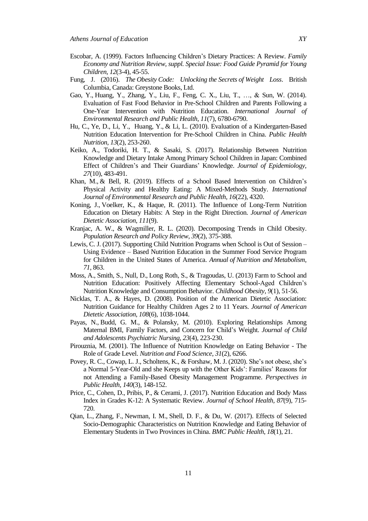- [Escobar,](https://search-proquest-com.mgs.hemdat.ac.il/indexinglinkhandler/sng/au/Escobar,+Alyson/$N?accountid=41238) A. (1999). Factors Influencing Children's Dietary Practices: A Review. *Family Economy and Nutrition Review, suppl. Special Issue: Food Guide Pyramid for Young Children, 12*[\(3-4\),](https://search-proquest-com.mgs.hemdat.ac.il/indexingvolumeissuelinkhandler/6796/Family+Economics+and+Nutrition+Review/01999Y01Y01$231999$3b++Vol.+12+$283$2f4$29,+Supp.+Special+Issue:+Food+Guide+Pyramid+for+Young+Children/12/3$2f4?accountid=41238) 45-55.
- Fung, J. (2016). *The Obesity Code: Unlocking the Secrets of Weight Loss*. British Columbia, Canada: Greystone Books, Ltd.
- Gao, Y., Huang, Y., Zhang, Y., [Liu, F.](https://search-proquest-com.mgs.hemdat.ac.il/indexinglinkhandler/sng/au/Liu,+Fengqiong/$N?accountid=41238), [Feng,](https://search-proquest-com.mgs.hemdat.ac.il/indexinglinkhandler/sng/au/Feng,+Cindy+Xin/$N?accountid=41238) C. X., Liu, T., …, & Sun, W. (2014). Evaluation of Fast Food Behavior in Pre-School Children and Parents Following a One-Year Intervention with Nutrition Education. *[International Journal of](https://search-proquest-com.mgs.hemdat.ac.il/pubidlinkhandler/sng/pubtitle/International+Journal+of+Environmental+Research+and+Public+Health/$N/54923/DocView/1555275902/fulltext/FB6DCAA7B4FB4330PQ/1?accountid=41238)  [Environmental Research and Public Health,](https://search-proquest-com.mgs.hemdat.ac.il/pubidlinkhandler/sng/pubtitle/International+Journal+of+Environmental+Research+and+Public+Health/$N/54923/DocView/1555275902/fulltext/FB6DCAA7B4FB4330PQ/1?accountid=41238) 11*(7), 6780-6790.
- [Hu,](https://search-proquest-com.mgs.hemdat.ac.il/indexinglinkhandler/sng/au/Hu,+Chuanlai/$N?accountid=41238) C., Ye, D., [Li,](https://search-proquest-com.mgs.hemdat.ac.il/indexinglinkhandler/sng/au/Li,+Yingchun/$N?accountid=41238) Y., [Huang,](https://search-proquest-com.mgs.hemdat.ac.il/indexinglinkhandler/sng/au/Huang,+Yongling/$N?accountid=41238) Y., & [Li,](https://search-proquest-com.mgs.hemdat.ac.il/indexinglinkhandler/sng/au/Li,+Li/$N?accountid=41238) L. (2010). Evaluation of a Kindergarten-Based Nutrition Education Intervention for Pre-School Children in China. *Public Health Nutrition*, *13*(2), 253-260.
- [Keiko,](https://search-proquest-com.mgs.hemdat.ac.il/indexinglinkhandler/sng/au/Asakura,+Keiko/$N?accountid=41238) A., [Todoriki,](https://search-proquest-com.mgs.hemdat.ac.il/indexinglinkhandler/sng/au/Todoriki,+Hidemi/$N?accountid=41238) H. T., & [Sasaki,](https://search-proquest-com.mgs.hemdat.ac.il/indexinglinkhandler/sng/au/Sasaki,+Satoshi/$N?accountid=41238) S. (2017). Relationship Between Nutrition Knowledge and Dietary Intake Among Primary School Children in Japan: Combined Effect of Children's and Their Guardians' Knowledge. *Journal of Epidemiology, 27*[\(10\),](https://search-proquest-com.mgs.hemdat.ac.il/indexingvolumeissuelinkhandler/496381/Journal+of+Epidemiology/02017Y01Y01$232017$3b++Vol.+27+$2810$29/27/10?accountid=41238) 483-491.
- [Khan,](https://search-proquest-com.mgs.hemdat.ac.il/indexinglinkhandler/sng/au/Khan,+Matluba/$N?accountid=41238) M., & [Bell,](https://search-proquest-com.mgs.hemdat.ac.il/indexinglinkhandler/sng/au/Bell,+Ruth/$N?accountid=41238) R. (2019). Effects of a School Based Intervention on Children's Physical Activity and Healthy Eating: A Mixed-Methods Study. *International Journal of Environmental Research and Public Health*, *16*[\(22\)](https://search-proquest-com.mgs.hemdat.ac.il/indexingvolumeissuelinkhandler/54923/International+Journal+of+Environmental+Research+and+Public+Health/02019Y01Y01$232019$3b++Vol.+16+$2822$29/16/22?accountid=41238), 4320.
- Koning, J., Voelker, K., & Haque, R. (2011). The Influence of Long-Term Nutrition Education on Dietary Habits: A Step in the Right Direction. *Journal of American Dietetic Association*, *111*(9).
- Kranjac, A. W., & [Wagmiller,](https://search-proquest-com.mgs.hemdat.ac.il/indexinglinkhandler/sng/au/Wagmiller,+Robert+L/$N?accountid=41238) R. L. (2020). Decomposing Trends in Child Obesity. *[Population Research and Policy Revi](https://search-proquest-com.mgs.hemdat.ac.il/pubidlinkhandler/sng/pubtitle/Population+Research+and+Policy+Review/$N/36635/DocView/2268837011/abstract/433A2A59840741F4PQ/3?accountid=41238)ew*, *39*[\(2\),](https://search-proquest-com.mgs.hemdat.ac.il/indexingvolumeissuelinkhandler/36635/Population+Research+and+Policy+Review/02020Y04Y01$23Apr+2020$3b++Vol.+39+$282$29/39/2?accountid=41238) 375-388.
- [Lewis, C. J.](https://search-proquest-com.mgs.hemdat.ac.il/indexinglinkhandler/sng/au/Lewis,+Cheryl+Jackson/$N?accountid=41238) (2017). Supporting Child Nutrition Programs when School is Out of Session Using Evidence – Based Nutrition Education in the Summer Food Service Program for Children in the United States of America. *Annual of Nutrition and Metabolism*, *71*, 863.
- Moss, A., Smith, S., Null, D., Long Roth, S., & Tragoudas, U. (2013) Farm to School and Nutrition Education: Positively Affecting Elementary School-Aged Children's Nutrition Knowledge and Consumption Behavior. *Childhood Obesity, 9*(1), 51-56.
- Nicklas, T. A., & Hayes, D. (2008). Position of the American Dietetic Association: Nutrition Guidance for Healthy Children Ages 2 to 11 Years. *Journal of American Dietetic Association*, *108*(6), 1038-1044.
- Payas, N., Budd, [G. M.](https://search-proquest-com.mgs.hemdat.ac.il/indexinglinkhandler/sng/au/Budd,+Geraldine+M,+PhD,+RN,+CRNP/$N?accountid=41238), & Polansky, M. (2010). Exploring Relationships Among Maternal BMI, Family Factors, and Concern for Child's Weight. *[Journal of Child](https://search-proquest-com.mgs.hemdat.ac.il/pubidlinkhandler/sng/pubtitle/Journal+of+Child+and+Adolescent+Psychiatric+Nursing/$N/36261/DocView/816337301/fulltext/8FCC3E05E09B4010PQ/5?accountid=41238)  [and Adolescents Psychiatric Nursing,](https://search-proquest-com.mgs.hemdat.ac.il/pubidlinkhandler/sng/pubtitle/Journal+of+Child+and+Adolescent+Psychiatric+Nursing/$N/36261/DocView/816337301/fulltext/8FCC3E05E09B4010PQ/5?accountid=41238) 23*[\(4\),](https://search-proquest-com.mgs.hemdat.ac.il/indexingvolumeissuelinkhandler/36261/Journal+of+Child+and+Adolescent+Psychiatric+Nursing/02010Y11Y01$23Nov+2010$3b++Vol.+23+$284$29/23/4?accountid=41238) 223-230.
- [Pirouznia,](https://search-proquest-com.mgs.hemdat.ac.il/indexinglinkhandler/sng/au/Pirouznia,+Mahshid/$N?accountid=41238) M. (2001). The Influence of Nutrition Knowledge on Eating Behavior The Role of Grade Level. *Nutrition and Food Science*, *31*[\(2\),](https://search-proquest-com.mgs.hemdat.ac.il/indexingvolumeissuelinkhandler/25521/Nutrition+and+Food+Science/02001Y01Y01$232001$3b++Vol.+31+$282$29/31/2?accountid=41238) 6266.
- [Povey,](https://search-proquest-com.mgs.hemdat.ac.il/indexinglinkhandler/sng/au/Povey,+R+C/$N?accountid=41238) R. C., [Cowap,](https://search-proquest-com.mgs.hemdat.ac.il/indexinglinkhandler/sng/au/Cowap,+L+J/$N?accountid=41238) L. J., Scholtens, K., & Forshaw, M. J. (2020). She's not obese, she's a Normal 5-Year-Old and she Keeps up with the Other Kids': Families' Reasons for not Attending a Family-Based Obesity Management Programme. *Perspectives in Public Health, 140*(3), 148-152.
- Price, C., Cohen, D., Pribis, P., & Cerami, J. (2017). Nutrition Education and Body Mass Index in Grades K-12: A Systematic Review. *Journal of School Health, 87*(9), 715- 720.
- Qian, L., Zhang, F., Newman, I. M., Shell, D. F., & Du, W. (2017). Effects of Selected Socio-Demographic Characteristics on Nutrition Knowledge and Eating Behavior of Elementary Students in Two Provinces in China. *[BMC Public Health](https://search-proquest-com.mgs.hemdat.ac.il/pubidlinkhandler/sng/pubtitle/BMC+Public+Health/$N/44782/PagePdf/1925360617/fulltextPDF/15371E776C944641PQ/9?accountid=41238)*, *18*(1), 21.